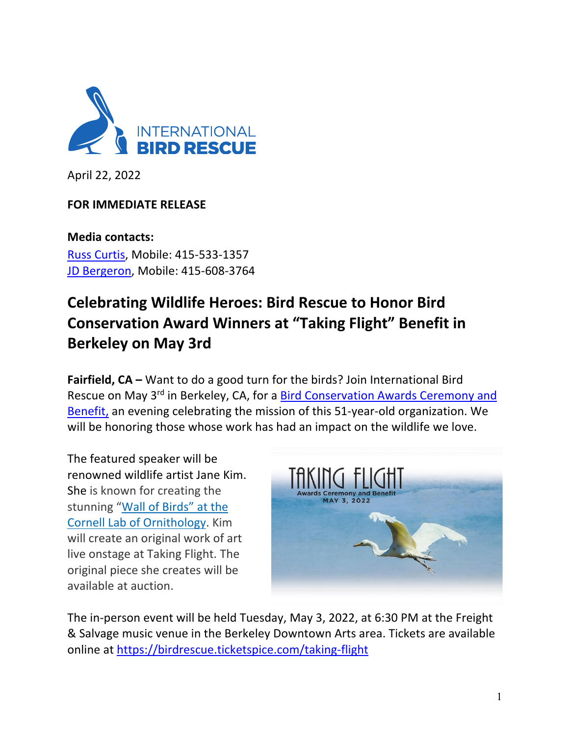

April 22, 2022

# **FOR IMMEDIATE RELEASE**

**Media contacts:** Russ Curtis, Mobile: 415-533-1357 JD Bergeron, Mobile: 415-608-3764

# **Celebrating Wildlife Heroes: Bird Rescue to Honor Bird Conservation Award Winners at "Taking Flight" Benefit in Berkeley on May 3rd**

**Fairfield, CA –** Want to do a good turn for the birds? Join International Bird Rescue on May 3<sup>rd</sup> in Berkeley, CA, for a Bird Conservation Awards Ceremony and Benefit, an evening celebrating the mission of this 51-year-old organization. We will be honoring those whose work has had an impact on the wildlife we love.

The featured speaker will be renowned wildlife artist Jane Kim. She is known for creating the stunning "Wall of Birds" at the Cornell Lab of Ornithology. Kim will create an original work of art live onstage at Taking Flight. The original piece she creates will be available at auction.



The in-person event will be held Tuesday, May 3, 2022, at 6:30 PM at the Freight & Salvage music venue in the Berkeley Downtown Arts area. Tickets are available online at https://birdrescue.ticketspice.com/taking-flight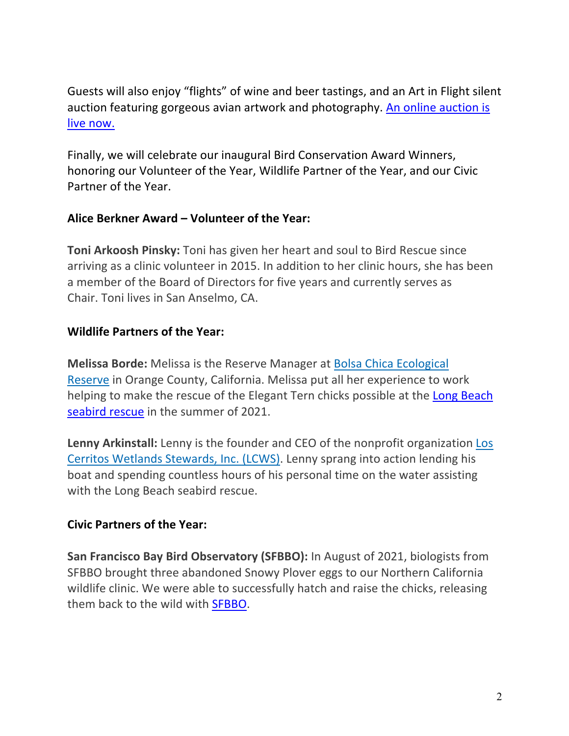Guests will also enjoy "flights" of wine and beer tastings, and an Art in Flight silent auction featuring gorgeous avian artwork and photography. An online auction is live now.

Finally, we will celebrate our inaugural Bird Conservation Award Winners, honoring our Volunteer of the Year, Wildlife Partner of the Year, and our Civic Partner of the Year.

### **Alice Berkner Award – Volunteer of the Year:**

**Toni Arkoosh Pinsky:** Toni has given her heart and soul to Bird Rescue since arriving as a clinic volunteer in 2015. In addition to her clinic hours, she has been a member of the Board of Directors for five years and currently serves as Chair. Toni lives in San Anselmo, CA.

### **Wildlife Partners of the Year:**

**Melissa Borde:** Melissa is the Reserve Manager at Bolsa Chica Ecological Reserve in Orange County, California. Melissa put all her experience to work helping to make the rescue of the Elegant Tern chicks possible at the Long Beach seabird rescue in the summer of 2021.

**Lenny Arkinstall:** Lenny is the founder and CEO of the nonprofit organization Los Cerritos Wetlands Stewards, Inc. (LCWS). Lenny sprang into action lending his boat and spending countless hours of his personal time on the water assisting with the Long Beach seabird rescue.

#### **Civic Partners of the Year:**

**San Francisco Bay Bird Observatory (SFBBO):** In August of 2021, biologists from SFBBO brought three abandoned Snowy Plover eggs to our Northern California wildlife clinic. We were able to successfully hatch and raise the chicks, releasing them back to the wild with SFBBO.